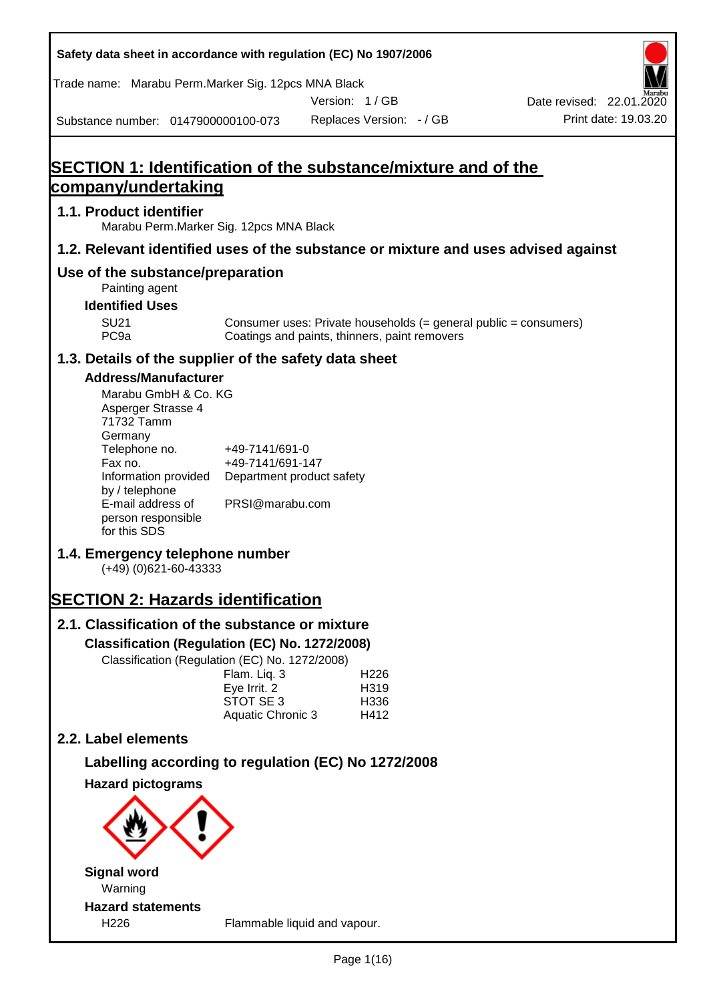|                                                                                                                                                                                                                                                                                                                          | Safety data sheet in accordance with regulation (EC) No 1907/2006                                                                                                                                                                                                                                                                                       |               |                                          |                                                                                    |
|--------------------------------------------------------------------------------------------------------------------------------------------------------------------------------------------------------------------------------------------------------------------------------------------------------------------------|---------------------------------------------------------------------------------------------------------------------------------------------------------------------------------------------------------------------------------------------------------------------------------------------------------------------------------------------------------|---------------|------------------------------------------|------------------------------------------------------------------------------------|
|                                                                                                                                                                                                                                                                                                                          | Trade name: Marabu Perm.Marker Sig. 12pcs MNA Black                                                                                                                                                                                                                                                                                                     |               |                                          |                                                                                    |
| Substance number: 0147900000100-073                                                                                                                                                                                                                                                                                      |                                                                                                                                                                                                                                                                                                                                                         | Version: 1/GB | Replaces Version: - / GB                 | Date revised: 22.01.2020<br>Print date: 19.03.20                                   |
|                                                                                                                                                                                                                                                                                                                          | <b>SECTION 1: Identification of the substance/mixture and of the</b>                                                                                                                                                                                                                                                                                    |               |                                          |                                                                                    |
| company/undertaking                                                                                                                                                                                                                                                                                                      |                                                                                                                                                                                                                                                                                                                                                         |               |                                          |                                                                                    |
| 1.1. Product identifier                                                                                                                                                                                                                                                                                                  | Marabu Perm. Marker Sig. 12pcs MNA Black                                                                                                                                                                                                                                                                                                                |               |                                          |                                                                                    |
|                                                                                                                                                                                                                                                                                                                          |                                                                                                                                                                                                                                                                                                                                                         |               |                                          | 1.2. Relevant identified uses of the substance or mixture and uses advised against |
| Use of the substance/preparation<br>Painting agent                                                                                                                                                                                                                                                                       |                                                                                                                                                                                                                                                                                                                                                         |               |                                          |                                                                                    |
| <b>Identified Uses</b>                                                                                                                                                                                                                                                                                                   |                                                                                                                                                                                                                                                                                                                                                         |               |                                          |                                                                                    |
| <b>SU21</b><br>PC <sub>9a</sub>                                                                                                                                                                                                                                                                                          | Coatings and paints, thinners, paint removers                                                                                                                                                                                                                                                                                                           |               |                                          | Consumer uses: Private households (= general public = consumers)                   |
|                                                                                                                                                                                                                                                                                                                          | 1.3. Details of the supplier of the safety data sheet                                                                                                                                                                                                                                                                                                   |               |                                          |                                                                                    |
| <b>Address/Manufacturer</b><br>Marabu GmbH & Co. KG<br>Asperger Strasse 4<br>71732 Tamm<br>Germany<br>Telephone no.<br>Fax no.<br>Information provided<br>by / telephone<br>E-mail address of<br>person responsible<br>for this SDS<br>1.4. Emergency telephone number<br>$(+49)$ (0)621-60-43333<br>2.2. Label elements | +49-7141/691-0<br>+49-7141/691-147<br>Department product safety<br>PRSI@marabu.com<br><b>SECTION 2: Hazards identification</b><br>2.1. Classification of the substance or mixture<br>Classification (Regulation (EC) No. 1272/2008)<br>Classification (Regulation (EC) No. 1272/2008)<br>Flam. Liq. 3<br>Eye Irrit. 2<br>STOT SE 3<br>Aquatic Chronic 3 |               | H <sub>226</sub><br>H319<br>H336<br>H412 |                                                                                    |
|                                                                                                                                                                                                                                                                                                                          |                                                                                                                                                                                                                                                                                                                                                         |               |                                          |                                                                                    |
| <b>Hazard pictograms</b>                                                                                                                                                                                                                                                                                                 | Labelling according to regulation (EC) No 1272/2008                                                                                                                                                                                                                                                                                                     |               |                                          |                                                                                    |
|                                                                                                                                                                                                                                                                                                                          |                                                                                                                                                                                                                                                                                                                                                         |               |                                          |                                                                                    |
| <b>Signal word</b><br>Warning                                                                                                                                                                                                                                                                                            |                                                                                                                                                                                                                                                                                                                                                         |               |                                          |                                                                                    |
| <b>Hazard statements</b><br>H226                                                                                                                                                                                                                                                                                         | Flammable liquid and vapour.                                                                                                                                                                                                                                                                                                                            |               |                                          |                                                                                    |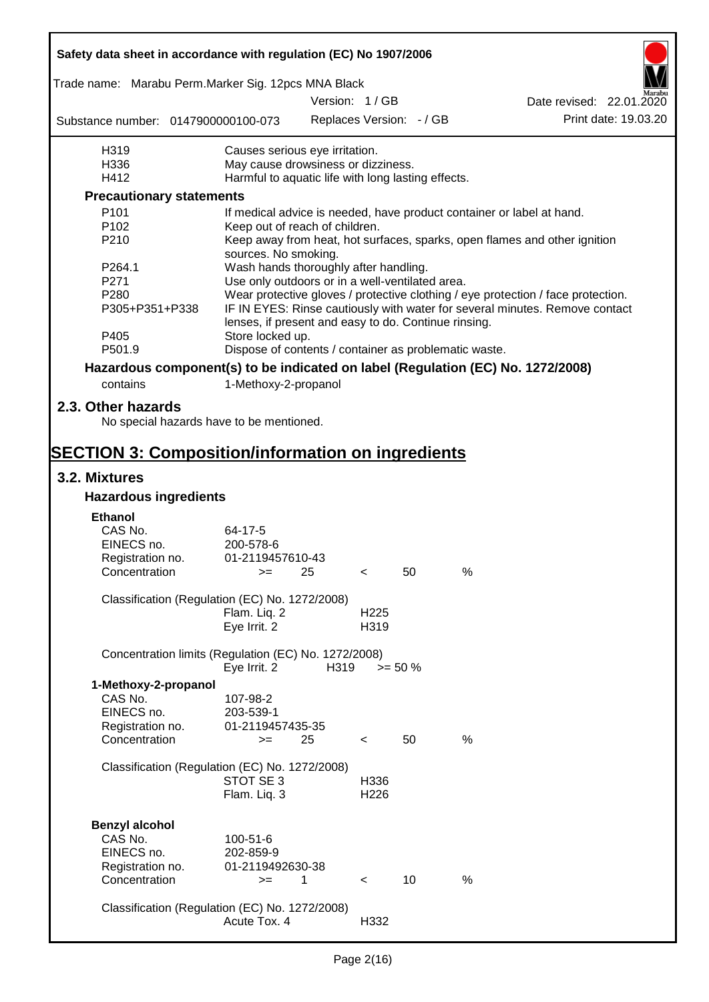|                                                                                                                            | Safety data sheet in accordance with regulation (EC) No 1907/2006                                                                   |      |                          |            |   |                                                                                  |  |
|----------------------------------------------------------------------------------------------------------------------------|-------------------------------------------------------------------------------------------------------------------------------------|------|--------------------------|------------|---|----------------------------------------------------------------------------------|--|
| Trade name: Marabu Perm.Marker Sig. 12pcs MNA Black                                                                        |                                                                                                                                     |      |                          |            |   |                                                                                  |  |
|                                                                                                                            |                                                                                                                                     |      | Version: 1/GB            |            |   | Date revised: 22.01.2020                                                         |  |
| Substance number: 0147900000100-073                                                                                        |                                                                                                                                     |      | Replaces Version: - / GB |            |   | Print date: 19.03.20                                                             |  |
| H319                                                                                                                       | Causes serious eye irritation.                                                                                                      |      |                          |            |   |                                                                                  |  |
| H336                                                                                                                       | May cause drowsiness or dizziness.                                                                                                  |      |                          |            |   |                                                                                  |  |
| H412                                                                                                                       | Harmful to aquatic life with long lasting effects.                                                                                  |      |                          |            |   |                                                                                  |  |
| <b>Precautionary statements</b>                                                                                            |                                                                                                                                     |      |                          |            |   |                                                                                  |  |
| P <sub>101</sub>                                                                                                           |                                                                                                                                     |      |                          |            |   | If medical advice is needed, have product container or label at hand.            |  |
| P102                                                                                                                       | Keep out of reach of children.                                                                                                      |      |                          |            |   |                                                                                  |  |
| P210                                                                                                                       | sources. No smoking.                                                                                                                |      |                          |            |   | Keep away from heat, hot surfaces, sparks, open flames and other ignition        |  |
| P264.1                                                                                                                     | Wash hands thoroughly after handling.                                                                                               |      |                          |            |   |                                                                                  |  |
| P271                                                                                                                       | Use only outdoors or in a well-ventilated area.                                                                                     |      |                          |            |   |                                                                                  |  |
| P280                                                                                                                       |                                                                                                                                     |      |                          |            |   | Wear protective gloves / protective clothing / eye protection / face protection. |  |
| P305+P351+P338                                                                                                             | IF IN EYES: Rinse cautiously with water for several minutes. Remove contact<br>lenses, if present and easy to do. Continue rinsing. |      |                          |            |   |                                                                                  |  |
| P405                                                                                                                       | Store locked up.                                                                                                                    |      |                          |            |   |                                                                                  |  |
| P501.9                                                                                                                     | Dispose of contents / container as problematic waste.                                                                               |      |                          |            |   |                                                                                  |  |
| Hazardous component(s) to be indicated on label (Regulation (EC) No. 1272/2008)                                            |                                                                                                                                     |      |                          |            |   |                                                                                  |  |
| contains                                                                                                                   | 1-Methoxy-2-propanol                                                                                                                |      |                          |            |   |                                                                                  |  |
| 2.3. Other hazards<br>No special hazards have to be mentioned.<br><b>SECTION 3: Composition/information on ingredients</b> |                                                                                                                                     |      |                          |            |   |                                                                                  |  |
|                                                                                                                            |                                                                                                                                     |      |                          |            |   |                                                                                  |  |
| 3.2. Mixtures                                                                                                              |                                                                                                                                     |      |                          |            |   |                                                                                  |  |
| <b>Hazardous ingredients</b>                                                                                               |                                                                                                                                     |      |                          |            |   |                                                                                  |  |
| <b>Ethanol</b>                                                                                                             |                                                                                                                                     |      |                          |            |   |                                                                                  |  |
| CAS No.                                                                                                                    | 64-17-5                                                                                                                             |      |                          |            |   |                                                                                  |  |
| EINECS no.                                                                                                                 | 200-578-6                                                                                                                           |      |                          |            |   |                                                                                  |  |
| Registration no.                                                                                                           | 01-2119457610-43                                                                                                                    |      |                          |            |   |                                                                                  |  |
| Concentration                                                                                                              | $>=$ 25                                                                                                                             |      | $\epsilon$               | 50         | % |                                                                                  |  |
| Classification (Regulation (EC) No. 1272/2008)                                                                             |                                                                                                                                     |      |                          |            |   |                                                                                  |  |
|                                                                                                                            | Flam. Liq. 2                                                                                                                        |      | H <sub>225</sub>         |            |   |                                                                                  |  |
|                                                                                                                            | Eye Irrit. 2                                                                                                                        |      | H319                     |            |   |                                                                                  |  |
| Concentration limits (Regulation (EC) No. 1272/2008)                                                                       |                                                                                                                                     |      |                          |            |   |                                                                                  |  |
|                                                                                                                            | Eye Irrit. 2                                                                                                                        | H319 |                          | $>= 50 \%$ |   |                                                                                  |  |
| 1-Methoxy-2-propanol                                                                                                       |                                                                                                                                     |      |                          |            |   |                                                                                  |  |
| CAS No.                                                                                                                    | 107-98-2                                                                                                                            |      |                          |            |   |                                                                                  |  |
| EINECS no.                                                                                                                 | 203-539-1                                                                                                                           |      |                          |            |   |                                                                                  |  |
| Registration no.                                                                                                           | 01-2119457435-35                                                                                                                    |      |                          |            |   |                                                                                  |  |
| Concentration                                                                                                              | $>=$                                                                                                                                | 25   | $\,<\,$                  | 50         | % |                                                                                  |  |
|                                                                                                                            |                                                                                                                                     |      |                          |            |   |                                                                                  |  |
| Classification (Regulation (EC) No. 1272/2008)                                                                             | STOT SE 3                                                                                                                           |      | H336                     |            |   |                                                                                  |  |
|                                                                                                                            | Flam. Liq. 3                                                                                                                        |      | H <sub>226</sub>         |            |   |                                                                                  |  |
|                                                                                                                            |                                                                                                                                     |      |                          |            |   |                                                                                  |  |
| <b>Benzyl alcohol</b>                                                                                                      |                                                                                                                                     |      |                          |            |   |                                                                                  |  |
| CAS No.                                                                                                                    | 100-51-6                                                                                                                            |      |                          |            |   |                                                                                  |  |
| EINECS no.                                                                                                                 | 202-859-9                                                                                                                           |      |                          |            |   |                                                                                  |  |
| Registration no.                                                                                                           | 01-2119492630-38                                                                                                                    |      |                          |            |   |                                                                                  |  |
| Concentration                                                                                                              | $>=$                                                                                                                                | 1    | $\prec$                  | 10         | % |                                                                                  |  |
|                                                                                                                            |                                                                                                                                     |      |                          |            |   |                                                                                  |  |
| Classification (Regulation (EC) No. 1272/2008)                                                                             |                                                                                                                                     |      |                          |            |   |                                                                                  |  |
|                                                                                                                            | Acute Tox. 4                                                                                                                        |      | H332                     |            |   |                                                                                  |  |
|                                                                                                                            |                                                                                                                                     |      |                          |            |   |                                                                                  |  |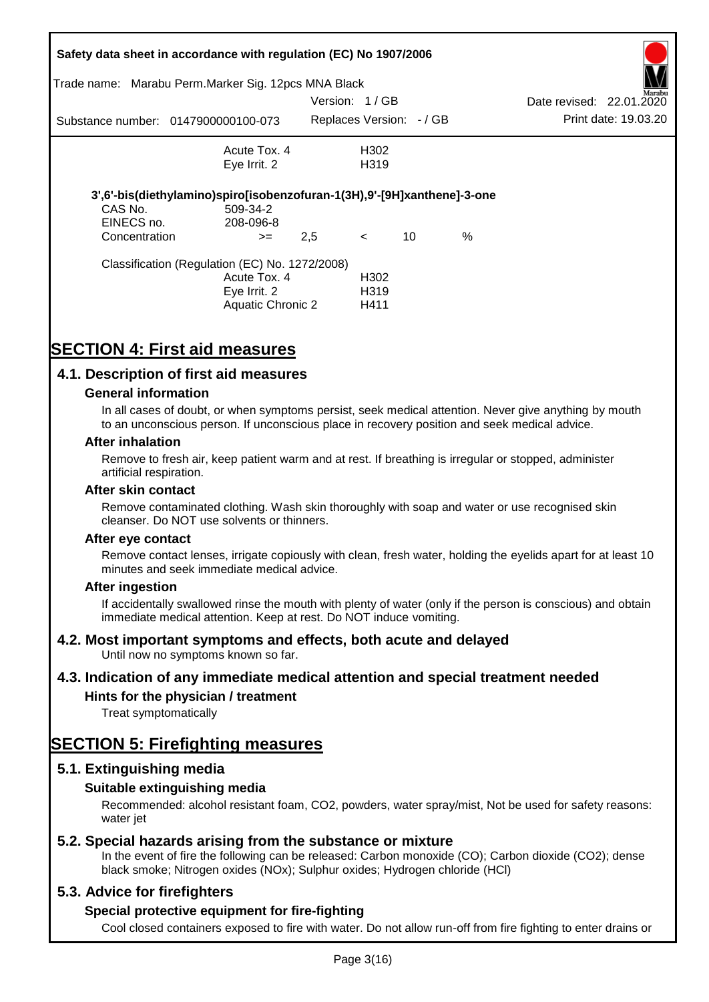| Safety data sheet in accordance with regulation (EC) No 1907/2006 |                                                                         |               |                          |    |      |                          |                      |
|-------------------------------------------------------------------|-------------------------------------------------------------------------|---------------|--------------------------|----|------|--------------------------|----------------------|
|                                                                   | Trade name: Marabu Perm.Marker Sig. 12pcs MNA Black                     |               |                          |    |      |                          | Marabu               |
|                                                                   |                                                                         | Version: 1/GB |                          |    |      | Date revised: 22.01.2020 |                      |
|                                                                   | Substance number: 0147900000100-073                                     |               | Replaces Version: - / GB |    |      |                          | Print date: 19.03.20 |
|                                                                   | Acute Tox. 4                                                            |               | H <sub>302</sub>         |    |      |                          |                      |
|                                                                   | Eye Irrit. 2                                                            |               | H319                     |    |      |                          |                      |
|                                                                   | 3',6'-bis(diethylamino)spiro[isobenzofuran-1(3H),9'-[9H]xanthene]-3-one |               |                          |    |      |                          |                      |
| CAS No.                                                           | 509-34-2                                                                |               |                          |    |      |                          |                      |
| EINECS no.                                                        | 208-096-8                                                               |               |                          |    |      |                          |                      |
| Concentration                                                     | $>=$                                                                    | 2,5           | $\prec$                  | 10 | $\%$ |                          |                      |
|                                                                   | Classification (Regulation (EC) No. 1272/2008)                          |               |                          |    |      |                          |                      |
|                                                                   | Acute Tox. 4                                                            |               | H302                     |    |      |                          |                      |
|                                                                   | Eye Irrit. 2                                                            |               | H <sub>3</sub> 19        |    |      |                          |                      |
|                                                                   | Aquatic Chronic 2                                                       |               | H411                     |    |      |                          |                      |

# **SECTION 4: First aid measures**

## **4.1. Description of first aid measures**

## **General information**

In all cases of doubt, or when symptoms persist, seek medical attention. Never give anything by mouth to an unconscious person. If unconscious place in recovery position and seek medical advice.

#### **After inhalation**

Remove to fresh air, keep patient warm and at rest. If breathing is irregular or stopped, administer artificial respiration.

#### **After skin contact**

Remove contaminated clothing. Wash skin thoroughly with soap and water or use recognised skin cleanser. Do NOT use solvents or thinners.

#### **After eye contact**

Remove contact lenses, irrigate copiously with clean, fresh water, holding the eyelids apart for at least 10 minutes and seek immediate medical advice.

#### **After ingestion**

If accidentally swallowed rinse the mouth with plenty of water (only if the person is conscious) and obtain immediate medical attention. Keep at rest. Do NOT induce vomiting.

## **4.2. Most important symptoms and effects, both acute and delayed**

Until now no symptoms known so far.

## **4.3. Indication of any immediate medical attention and special treatment needed**

## **Hints for the physician / treatment**

Treat symptomatically

## **SECTION 5: Firefighting measures**

## **5.1. Extinguishing media**

## **Suitable extinguishing media**

Recommended: alcohol resistant foam, CO2, powders, water spray/mist, Not be used for safety reasons: water *iet* 

## **5.2. Special hazards arising from the substance or mixture**

In the event of fire the following can be released: Carbon monoxide (CO); Carbon dioxide (CO2); dense black smoke; Nitrogen oxides (NOx); Sulphur oxides; Hydrogen chloride (HCl)

## **5.3. Advice for firefighters**

## **Special protective equipment for fire-fighting**

Cool closed containers exposed to fire with water. Do not allow run-off from fire fighting to enter drains or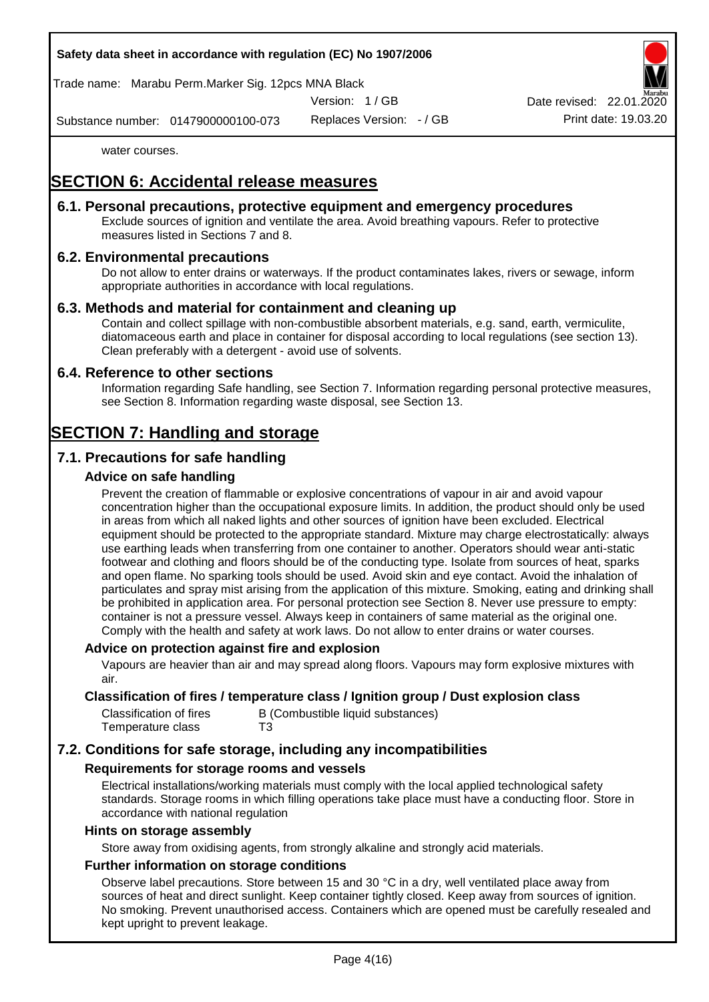## **Safety data sheet in accordance with regulation (EC) No 1907/2006**

Trade name: Marabu Perm.Marker Sig. 12pcs MNA Black

Version: 1 / GB

Replaces Version: - / GB Print date: 19.03.20 Date revised: 22.01.

Substance number: 0147900000100-073

water courses.

## **SECTION 6: Accidental release measures**

## **6.1. Personal precautions, protective equipment and emergency procedures**

Exclude sources of ignition and ventilate the area. Avoid breathing vapours. Refer to protective measures listed in Sections 7 and 8.

## **6.2. Environmental precautions**

Do not allow to enter drains or waterways. If the product contaminates lakes, rivers or sewage, inform appropriate authorities in accordance with local regulations.

## **6.3. Methods and material for containment and cleaning up**

Contain and collect spillage with non-combustible absorbent materials, e.g. sand, earth, vermiculite, diatomaceous earth and place in container for disposal according to local regulations (see section 13). Clean preferably with a detergent - avoid use of solvents.

## **6.4. Reference to other sections**

Information regarding Safe handling, see Section 7. Information regarding personal protective measures, see Section 8. Information regarding waste disposal, see Section 13.

## **SECTION 7: Handling and storage**

## **7.1. Precautions for safe handling**

## **Advice on safe handling**

Prevent the creation of flammable or explosive concentrations of vapour in air and avoid vapour concentration higher than the occupational exposure limits. In addition, the product should only be used in areas from which all naked lights and other sources of ignition have been excluded. Electrical equipment should be protected to the appropriate standard. Mixture may charge electrostatically: always use earthing leads when transferring from one container to another. Operators should wear anti-static footwear and clothing and floors should be of the conducting type. Isolate from sources of heat, sparks and open flame. No sparking tools should be used. Avoid skin and eye contact. Avoid the inhalation of particulates and spray mist arising from the application of this mixture. Smoking, eating and drinking shall be prohibited in application area. For personal protection see Section 8. Never use pressure to empty: container is not a pressure vessel. Always keep in containers of same material as the original one. Comply with the health and safety at work laws. Do not allow to enter drains or water courses.

#### **Advice on protection against fire and explosion**

Vapours are heavier than air and may spread along floors. Vapours may form explosive mixtures with air.

## **Classification of fires / temperature class / Ignition group / Dust explosion class**

| Classification of fires | B (Combustible liquid substances) |
|-------------------------|-----------------------------------|
| Temperature class       | T3                                |

## **7.2. Conditions for safe storage, including any incompatibilities**

#### **Requirements for storage rooms and vessels**

Electrical installations/working materials must comply with the local applied technological safety standards. Storage rooms in which filling operations take place must have a conducting floor. Store in accordance with national regulation

#### **Hints on storage assembly**

Store away from oxidising agents, from strongly alkaline and strongly acid materials.

## **Further information on storage conditions**

Observe label precautions. Store between 15 and 30 °C in a dry, well ventilated place away from sources of heat and direct sunlight. Keep container tightly closed. Keep away from sources of ignition. No smoking. Prevent unauthorised access. Containers which are opened must be carefully resealed and kept upright to prevent leakage.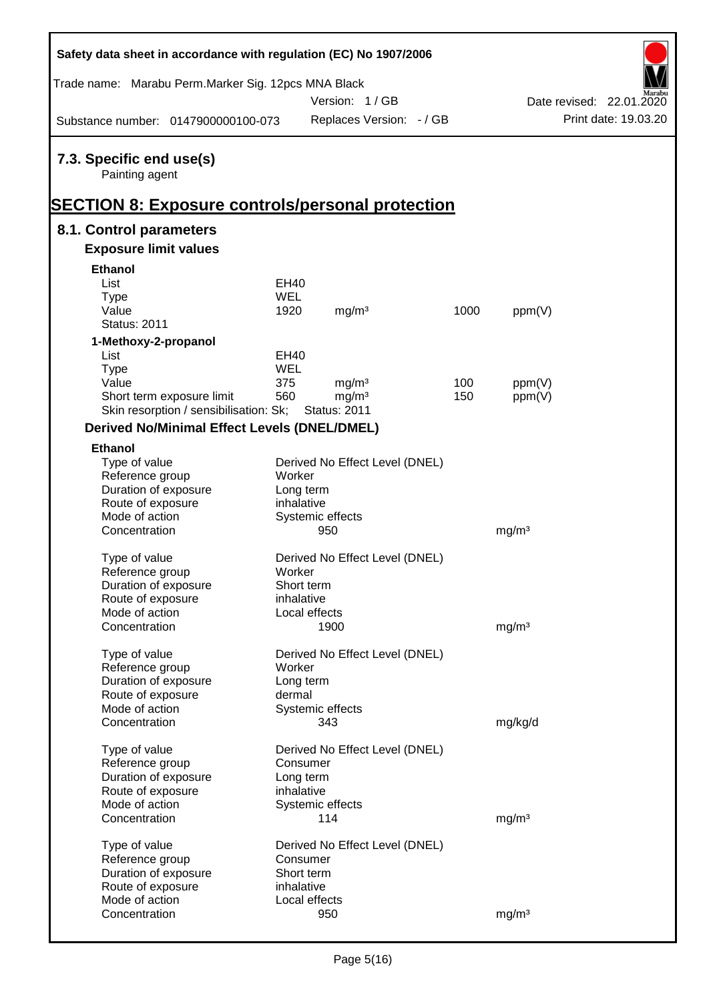| Safety data sheet in accordance with regulation (EC) No 1907/2006 |            |                                |      |                   |                          |
|-------------------------------------------------------------------|------------|--------------------------------|------|-------------------|--------------------------|
| Trade name: Marabu Perm. Marker Sig. 12pcs MNA Black              |            |                                |      |                   |                          |
|                                                                   |            | Version: 1/GB                  |      |                   | Date revised: 22.01.2020 |
| Substance number: 0147900000100-073                               |            | Replaces Version: - / GB       |      |                   | Print date: 19.03.20     |
| 7.3. Specific end use(s)                                          |            |                                |      |                   |                          |
| Painting agent                                                    |            |                                |      |                   |                          |
| <b>SECTION 8: Exposure controls/personal protection</b>           |            |                                |      |                   |                          |
| 8.1. Control parameters                                           |            |                                |      |                   |                          |
| <b>Exposure limit values</b>                                      |            |                                |      |                   |                          |
| <b>Ethanol</b>                                                    |            |                                |      |                   |                          |
| List                                                              | EH40       |                                |      |                   |                          |
| <b>Type</b>                                                       | WEL        |                                |      |                   |                          |
| Value                                                             | 1920       | mg/m <sup>3</sup>              | 1000 | ppm(V)            |                          |
| <b>Status: 2011</b>                                               |            |                                |      |                   |                          |
| 1-Methoxy-2-propanol                                              |            |                                |      |                   |                          |
| List                                                              | EH40       |                                |      |                   |                          |
| <b>Type</b>                                                       | <b>WEL</b> |                                |      |                   |                          |
| Value                                                             | 375        | mg/m <sup>3</sup>              | 100  | ppm(V)            |                          |
| Short term exposure limit                                         | 560        | mg/m <sup>3</sup>              | 150  | ppm(V)            |                          |
| Skin resorption / sensibilisation: Sk;                            |            | <b>Status: 2011</b>            |      |                   |                          |
| <b>Derived No/Minimal Effect Levels (DNEL/DMEL)</b>               |            |                                |      |                   |                          |
| <b>Ethanol</b>                                                    |            |                                |      |                   |                          |
| Type of value                                                     |            | Derived No Effect Level (DNEL) |      |                   |                          |
| Reference group                                                   | Worker     |                                |      |                   |                          |
| Duration of exposure                                              | Long term  |                                |      |                   |                          |
| Route of exposure                                                 | inhalative |                                |      |                   |                          |
| Mode of action                                                    |            | Systemic effects               |      |                   |                          |
| Concentration                                                     |            | 950                            |      | mg/m <sup>3</sup> |                          |
| Type of value                                                     |            | Derived No Effect Level (DNEL) |      |                   |                          |
| Reference group                                                   | Worker     |                                |      |                   |                          |
| Duration of exposure                                              | Short term |                                |      |                   |                          |
| Route of exposure                                                 | inhalative |                                |      |                   |                          |
| Mode of action                                                    |            | Local effects                  |      |                   |                          |
| Concentration                                                     |            | 1900                           |      | mg/m <sup>3</sup> |                          |
| Type of value                                                     |            | Derived No Effect Level (DNEL) |      |                   |                          |
| Reference group                                                   | Worker     |                                |      |                   |                          |
| Duration of exposure                                              | Long term  |                                |      |                   |                          |
| Route of exposure                                                 | dermal     |                                |      |                   |                          |
| Mode of action                                                    |            | Systemic effects               |      |                   |                          |
| Concentration                                                     |            | 343                            |      | mg/kg/d           |                          |
|                                                                   |            |                                |      |                   |                          |
| Type of value                                                     | Consumer   | Derived No Effect Level (DNEL) |      |                   |                          |
| Reference group<br>Duration of exposure                           | Long term  |                                |      |                   |                          |
| Route of exposure                                                 | inhalative |                                |      |                   |                          |
| Mode of action                                                    |            | Systemic effects               |      |                   |                          |
| Concentration                                                     |            | 114                            |      | mg/m <sup>3</sup> |                          |
|                                                                   |            |                                |      |                   |                          |
| Type of value                                                     |            | Derived No Effect Level (DNEL) |      |                   |                          |
| Reference group                                                   | Consumer   |                                |      |                   |                          |
| Duration of exposure                                              | Short term |                                |      |                   |                          |
| Route of exposure                                                 | inhalative |                                |      |                   |                          |
| Mode of action                                                    |            | Local effects                  |      |                   |                          |
| Concentration                                                     |            | 950                            |      | mg/m <sup>3</sup> |                          |

Ī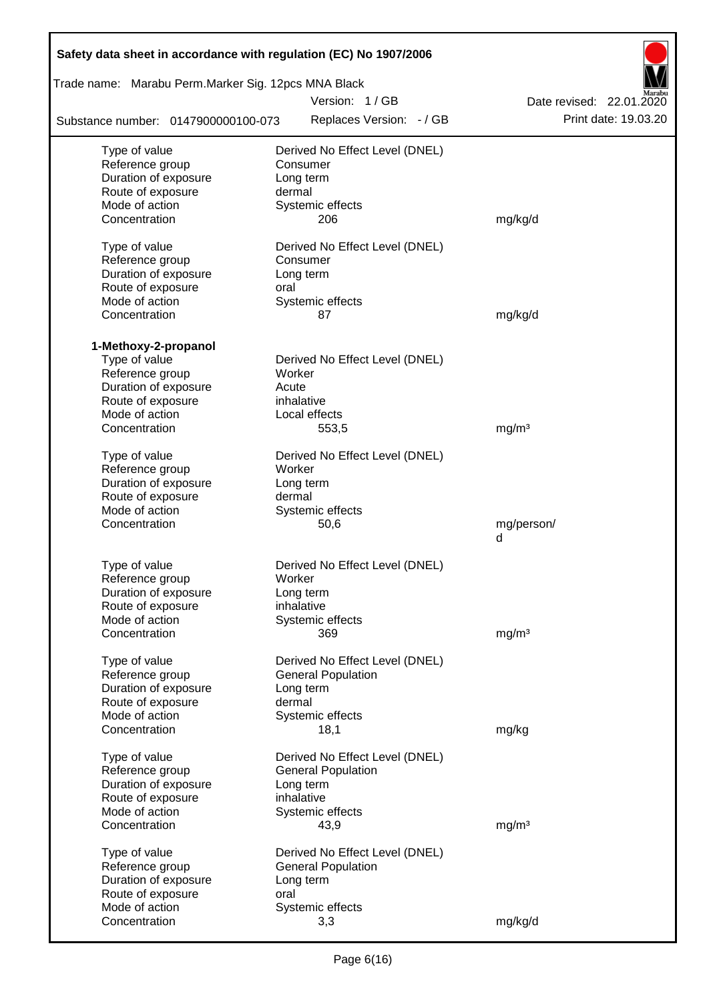| Safety data sheet in accordance with regulation (EC) No 1907/2006 |                                                             |                          |  |  |  |  |  |  |
|-------------------------------------------------------------------|-------------------------------------------------------------|--------------------------|--|--|--|--|--|--|
|                                                                   | Trade name: Marabu Perm.Marker Sig. 12pcs MNA Black         |                          |  |  |  |  |  |  |
|                                                                   | Version: 1/GB                                               | Date revised: 22.01.2020 |  |  |  |  |  |  |
| Substance number: 0147900000100-073                               | Replaces Version: - / GB                                    | Print date: 19.03.20     |  |  |  |  |  |  |
| Type of value                                                     | Derived No Effect Level (DNEL)                              |                          |  |  |  |  |  |  |
| Reference group                                                   | Consumer                                                    |                          |  |  |  |  |  |  |
| Duration of exposure                                              | Long term                                                   |                          |  |  |  |  |  |  |
| Route of exposure                                                 | dermal                                                      |                          |  |  |  |  |  |  |
| Mode of action                                                    | Systemic effects                                            |                          |  |  |  |  |  |  |
| Concentration                                                     | 206                                                         | mg/kg/d                  |  |  |  |  |  |  |
| Type of value                                                     | Derived No Effect Level (DNEL)                              |                          |  |  |  |  |  |  |
| Reference group                                                   | Consumer                                                    |                          |  |  |  |  |  |  |
| Duration of exposure                                              | Long term                                                   |                          |  |  |  |  |  |  |
| Route of exposure                                                 | oral                                                        |                          |  |  |  |  |  |  |
| Mode of action                                                    | Systemic effects                                            |                          |  |  |  |  |  |  |
| Concentration                                                     | 87                                                          | mg/kg/d                  |  |  |  |  |  |  |
|                                                                   |                                                             |                          |  |  |  |  |  |  |
| 1-Methoxy-2-propanol                                              |                                                             |                          |  |  |  |  |  |  |
| Type of value<br>Reference group                                  | Derived No Effect Level (DNEL)<br>Worker                    |                          |  |  |  |  |  |  |
| Duration of exposure                                              | Acute                                                       |                          |  |  |  |  |  |  |
| Route of exposure                                                 | inhalative                                                  |                          |  |  |  |  |  |  |
| Mode of action                                                    | Local effects                                               |                          |  |  |  |  |  |  |
| Concentration                                                     | 553,5                                                       | mg/m <sup>3</sup>        |  |  |  |  |  |  |
|                                                                   |                                                             |                          |  |  |  |  |  |  |
| Type of value                                                     | Derived No Effect Level (DNEL)                              |                          |  |  |  |  |  |  |
| Reference group                                                   | Worker                                                      |                          |  |  |  |  |  |  |
| Duration of exposure                                              | Long term                                                   |                          |  |  |  |  |  |  |
| Route of exposure                                                 | dermal                                                      |                          |  |  |  |  |  |  |
| Mode of action                                                    | Systemic effects                                            |                          |  |  |  |  |  |  |
| Concentration                                                     | 50,6                                                        | mg/person/<br>d          |  |  |  |  |  |  |
|                                                                   |                                                             |                          |  |  |  |  |  |  |
| Type of value                                                     | Derived No Effect Level (DNEL)                              |                          |  |  |  |  |  |  |
| Reference group                                                   | Worker                                                      |                          |  |  |  |  |  |  |
| Duration of exposure                                              | Long term                                                   |                          |  |  |  |  |  |  |
| Route of exposure                                                 | inhalative                                                  |                          |  |  |  |  |  |  |
| Mode of action                                                    | Systemic effects                                            |                          |  |  |  |  |  |  |
| Concentration                                                     | 369                                                         | mg/m <sup>3</sup>        |  |  |  |  |  |  |
| Type of value                                                     | Derived No Effect Level (DNEL)                              |                          |  |  |  |  |  |  |
| Reference group                                                   | <b>General Population</b>                                   |                          |  |  |  |  |  |  |
| Duration of exposure                                              | Long term                                                   |                          |  |  |  |  |  |  |
| Route of exposure                                                 | dermal                                                      |                          |  |  |  |  |  |  |
| Mode of action                                                    | Systemic effects                                            |                          |  |  |  |  |  |  |
| Concentration                                                     | 18,1                                                        | mg/kg                    |  |  |  |  |  |  |
|                                                                   |                                                             |                          |  |  |  |  |  |  |
| Type of value<br>Reference group                                  | Derived No Effect Level (DNEL)<br><b>General Population</b> |                          |  |  |  |  |  |  |
| Duration of exposure                                              | Long term                                                   |                          |  |  |  |  |  |  |
| Route of exposure                                                 | inhalative                                                  |                          |  |  |  |  |  |  |
| Mode of action                                                    | Systemic effects                                            |                          |  |  |  |  |  |  |
| Concentration                                                     | 43,9                                                        | mg/m <sup>3</sup>        |  |  |  |  |  |  |
|                                                                   |                                                             |                          |  |  |  |  |  |  |
| Type of value                                                     | Derived No Effect Level (DNEL)                              |                          |  |  |  |  |  |  |
| Reference group                                                   | <b>General Population</b>                                   |                          |  |  |  |  |  |  |
| Duration of exposure                                              | Long term                                                   |                          |  |  |  |  |  |  |
| Route of exposure<br>Mode of action                               | oral<br>Systemic effects                                    |                          |  |  |  |  |  |  |
| Concentration                                                     | 3,3                                                         | mg/kg/d                  |  |  |  |  |  |  |
|                                                                   |                                                             |                          |  |  |  |  |  |  |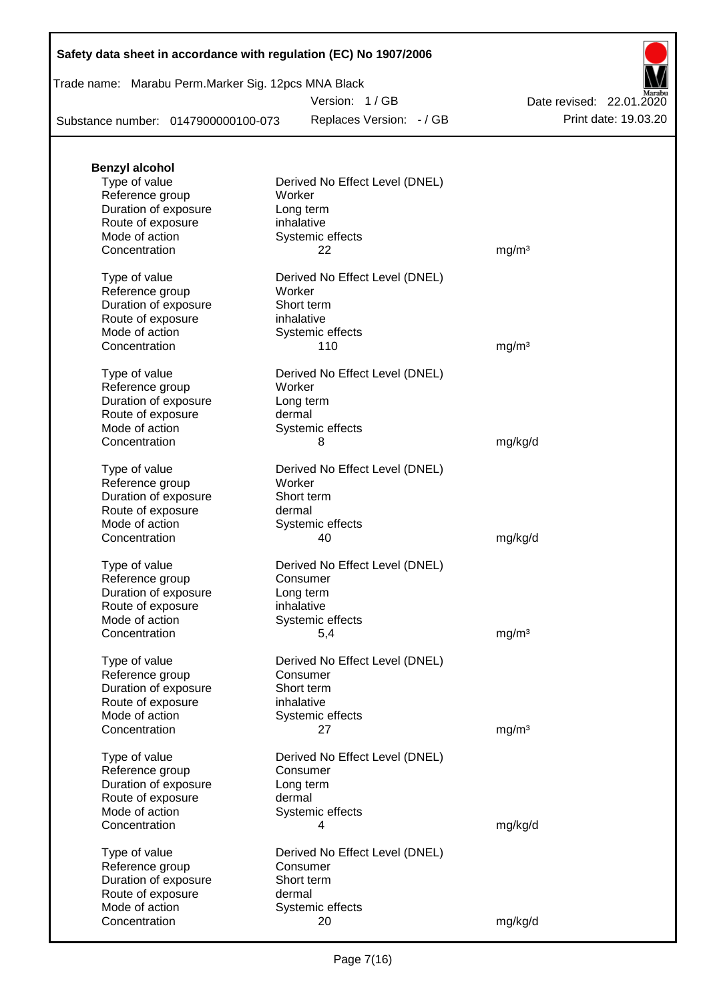| Safety data sheet in accordance with regulation (EC) No 1907/2006 |  |  |  |
|-------------------------------------------------------------------|--|--|--|
|-------------------------------------------------------------------|--|--|--|

Trade name: Marabu Perm.Marker Sig. 12pcs MNA Black

Version: 1 / GB

Replaces Version: - / GB Print date: 19.03.20 Date revised: 22.01.2020

Substance number: 0147900000100-073

| <b>Benzyl alcohol</b> |                                |                   |  |
|-----------------------|--------------------------------|-------------------|--|
| Type of value         | Derived No Effect Level (DNEL) |                   |  |
| Reference group       | Worker                         |                   |  |
| Duration of exposure  | Long term                      |                   |  |
| Route of exposure     | inhalative                     |                   |  |
| Mode of action        | Systemic effects               |                   |  |
| Concentration         | 22                             | mg/m <sup>3</sup> |  |
|                       |                                |                   |  |
| Type of value         | Derived No Effect Level (DNEL) |                   |  |
| Reference group       | Worker                         |                   |  |
| Duration of exposure  | Short term                     |                   |  |
| Route of exposure     | inhalative                     |                   |  |
| Mode of action        |                                |                   |  |
|                       | Systemic effects               |                   |  |
| Concentration         | 110                            | mg/m <sup>3</sup> |  |
| Type of value         | Derived No Effect Level (DNEL) |                   |  |
| Reference group       | Worker                         |                   |  |
|                       |                                |                   |  |
| Duration of exposure  | Long term                      |                   |  |
| Route of exposure     | dermal                         |                   |  |
| Mode of action        | Systemic effects               |                   |  |
| Concentration         | 8                              | mg/kg/d           |  |
|                       |                                |                   |  |
| Type of value         | Derived No Effect Level (DNEL) |                   |  |
| Reference group       | Worker                         |                   |  |
| Duration of exposure  | Short term                     |                   |  |
| Route of exposure     | dermal                         |                   |  |
| Mode of action        | Systemic effects               |                   |  |
| Concentration         | 40                             | mg/kg/d           |  |
|                       |                                |                   |  |
| Type of value         | Derived No Effect Level (DNEL) |                   |  |
| Reference group       | Consumer                       |                   |  |
| Duration of exposure  | Long term                      |                   |  |
| Route of exposure     | inhalative                     |                   |  |
| Mode of action        | Systemic effects               |                   |  |
| Concentration         | 5,4                            | mg/m <sup>3</sup> |  |
|                       |                                |                   |  |
| Type of value         | Derived No Effect Level (DNEL) |                   |  |
| Reference group       | Consumer                       |                   |  |
| Duration of exposure  | Short term                     |                   |  |
| Route of exposure     | inhalative                     |                   |  |
| Mode of action        | Systemic effects               |                   |  |
| Concentration         | 27                             | mg/m <sup>3</sup> |  |
|                       |                                |                   |  |
| Type of value         | Derived No Effect Level (DNEL) |                   |  |
| Reference group       | Consumer                       |                   |  |
| Duration of exposure  | Long term                      |                   |  |
| Route of exposure     | dermal                         |                   |  |
| Mode of action        | Systemic effects               |                   |  |
| Concentration         | 4                              | mg/kg/d           |  |
|                       |                                |                   |  |
| Type of value         | Derived No Effect Level (DNEL) |                   |  |
| Reference group       | Consumer                       |                   |  |
| Duration of exposure  | Short term                     |                   |  |
| Route of exposure     | dermal                         |                   |  |
| Mode of action        | Systemic effects               |                   |  |
| Concentration         | 20                             | mg/kg/d           |  |
|                       |                                |                   |  |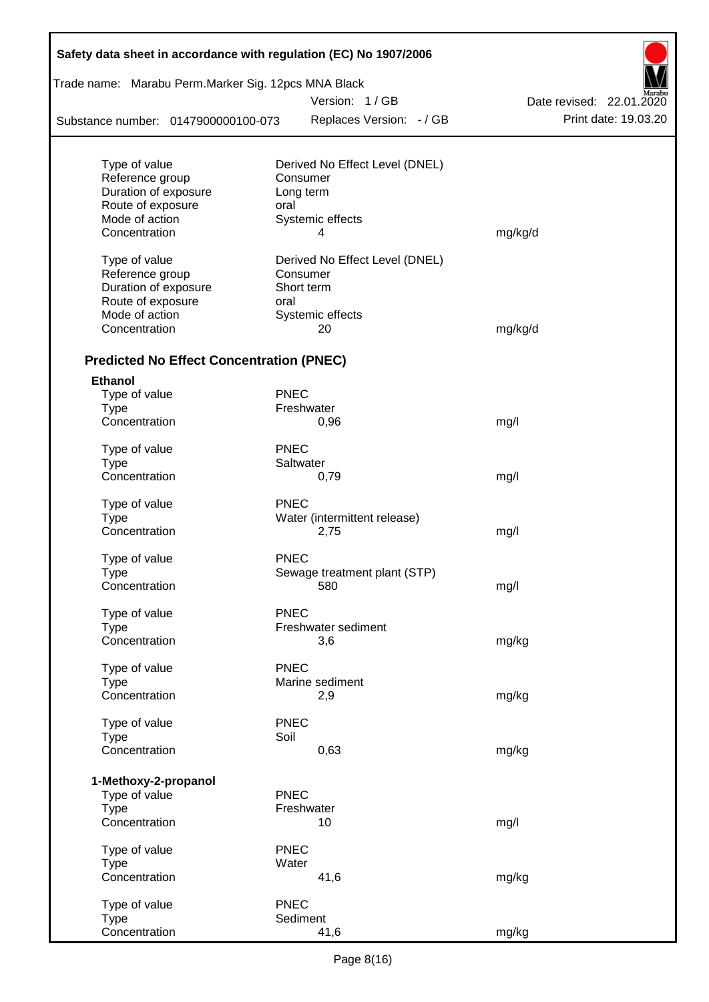| Safety data sheet in accordance with regulation (EC) No 1907/2006<br>Trade name: Marabu Perm.Marker Sig. 12pcs MNA Black |             |                                |                          |  |  |  |  |  |
|--------------------------------------------------------------------------------------------------------------------------|-------------|--------------------------------|--------------------------|--|--|--|--|--|
|                                                                                                                          |             | Version: 1/GB                  | Date revised: 22.01.2020 |  |  |  |  |  |
|                                                                                                                          |             |                                |                          |  |  |  |  |  |
| Substance number: 0147900000100-073                                                                                      |             | Replaces Version: - / GB       | Print date: 19.03.20     |  |  |  |  |  |
| Type of value                                                                                                            |             | Derived No Effect Level (DNEL) |                          |  |  |  |  |  |
| Reference group                                                                                                          |             | Consumer                       |                          |  |  |  |  |  |
| Duration of exposure                                                                                                     |             | Long term                      |                          |  |  |  |  |  |
| Route of exposure                                                                                                        | oral        |                                |                          |  |  |  |  |  |
| Mode of action                                                                                                           |             | Systemic effects               |                          |  |  |  |  |  |
| Concentration                                                                                                            |             | 4                              | mg/kg/d                  |  |  |  |  |  |
| Type of value                                                                                                            |             | Derived No Effect Level (DNEL) |                          |  |  |  |  |  |
| Reference group                                                                                                          |             | Consumer                       |                          |  |  |  |  |  |
| Duration of exposure                                                                                                     |             | Short term                     |                          |  |  |  |  |  |
| Route of exposure                                                                                                        | oral        |                                |                          |  |  |  |  |  |
| Mode of action                                                                                                           |             | Systemic effects               |                          |  |  |  |  |  |
| Concentration                                                                                                            |             | 20                             | mg/kg/d                  |  |  |  |  |  |
| <b>Predicted No Effect Concentration (PNEC)</b>                                                                          |             |                                |                          |  |  |  |  |  |
| <b>Ethanol</b>                                                                                                           |             |                                |                          |  |  |  |  |  |
| Type of value                                                                                                            | <b>PNEC</b> |                                |                          |  |  |  |  |  |
| <b>Type</b>                                                                                                              |             | Freshwater                     |                          |  |  |  |  |  |
| Concentration                                                                                                            |             | 0,96                           | mg/l                     |  |  |  |  |  |
| Type of value                                                                                                            | <b>PNEC</b> |                                |                          |  |  |  |  |  |
| <b>Type</b>                                                                                                              |             | Saltwater                      |                          |  |  |  |  |  |
| Concentration                                                                                                            |             | 0,79                           | mg/l                     |  |  |  |  |  |
| Type of value                                                                                                            | <b>PNEC</b> |                                |                          |  |  |  |  |  |
| <b>Type</b>                                                                                                              |             | Water (intermittent release)   |                          |  |  |  |  |  |
| Concentration                                                                                                            |             | 2,75                           | mg/l                     |  |  |  |  |  |
| Type of value                                                                                                            | <b>PNEC</b> |                                |                          |  |  |  |  |  |
| Type                                                                                                                     |             | Sewage treatment plant (STP)   |                          |  |  |  |  |  |
| Concentration                                                                                                            |             | 580                            | mg/l                     |  |  |  |  |  |
| Type of value                                                                                                            | <b>PNEC</b> |                                |                          |  |  |  |  |  |
| <b>Type</b>                                                                                                              |             | Freshwater sediment            |                          |  |  |  |  |  |
| Concentration                                                                                                            |             | 3,6                            | mg/kg                    |  |  |  |  |  |
| Type of value                                                                                                            | <b>PNEC</b> |                                |                          |  |  |  |  |  |
| <b>Type</b>                                                                                                              |             | Marine sediment                |                          |  |  |  |  |  |
| Concentration                                                                                                            |             | 2,9                            | mg/kg                    |  |  |  |  |  |
| Type of value                                                                                                            | <b>PNEC</b> |                                |                          |  |  |  |  |  |
| <b>Type</b>                                                                                                              | Soil        |                                |                          |  |  |  |  |  |
| Concentration                                                                                                            |             | 0,63                           | mg/kg                    |  |  |  |  |  |
| 1-Methoxy-2-propanol                                                                                                     |             |                                |                          |  |  |  |  |  |
| Type of value                                                                                                            | <b>PNEC</b> |                                |                          |  |  |  |  |  |
| <b>Type</b>                                                                                                              |             | Freshwater                     |                          |  |  |  |  |  |
| Concentration                                                                                                            |             | 10                             | mg/l                     |  |  |  |  |  |
| Type of value                                                                                                            | <b>PNEC</b> |                                |                          |  |  |  |  |  |
| <b>Type</b>                                                                                                              | Water       |                                |                          |  |  |  |  |  |
| Concentration                                                                                                            |             | 41,6                           | mg/kg                    |  |  |  |  |  |
| Type of value                                                                                                            | <b>PNEC</b> |                                |                          |  |  |  |  |  |
| <b>Type</b>                                                                                                              |             | Sediment                       |                          |  |  |  |  |  |
| Concentration                                                                                                            |             | 41,6                           | mg/kg                    |  |  |  |  |  |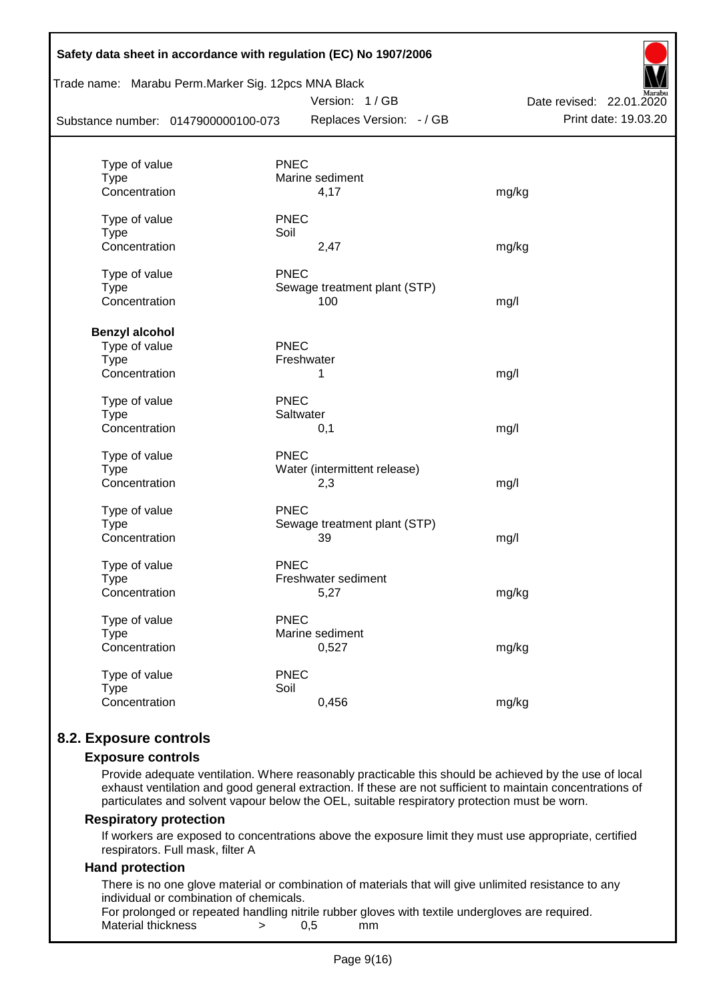| Safety data sheet in accordance with regulation (EC) No 1907/2006<br>Trade name: Marabu Perm.Marker Sig. 12pcs MNA Black |                                |                          |  |  |  |  |
|--------------------------------------------------------------------------------------------------------------------------|--------------------------------|--------------------------|--|--|--|--|
|                                                                                                                          | Version: 1/GB                  | Date revised: 22.01.2020 |  |  |  |  |
| Substance number: 0147900000100-073                                                                                      | Replaces Version: - / GB       | Print date: 19.03.20     |  |  |  |  |
|                                                                                                                          |                                |                          |  |  |  |  |
| Type of value<br><b>Type</b>                                                                                             | <b>PNEC</b><br>Marine sediment |                          |  |  |  |  |
| Concentration                                                                                                            | 4,17                           | mg/kg                    |  |  |  |  |
| Type of value                                                                                                            | <b>PNEC</b>                    |                          |  |  |  |  |
| <b>Type</b>                                                                                                              | Soil                           |                          |  |  |  |  |
| Concentration                                                                                                            | 2,47                           | mg/kg                    |  |  |  |  |
| Type of value                                                                                                            | <b>PNEC</b>                    |                          |  |  |  |  |
| <b>Type</b>                                                                                                              | Sewage treatment plant (STP)   |                          |  |  |  |  |
| Concentration                                                                                                            | 100                            | mg/l                     |  |  |  |  |
| <b>Benzyl alcohol</b>                                                                                                    |                                |                          |  |  |  |  |
| Type of value                                                                                                            | PNEC                           |                          |  |  |  |  |
| <b>Type</b>                                                                                                              | Freshwater                     |                          |  |  |  |  |
| Concentration                                                                                                            | 1                              | mg/l                     |  |  |  |  |
| Type of value                                                                                                            | <b>PNEC</b>                    |                          |  |  |  |  |
| <b>Type</b>                                                                                                              | Saltwater                      |                          |  |  |  |  |
| Concentration                                                                                                            | 0,1                            | mg/l                     |  |  |  |  |
| Type of value                                                                                                            | <b>PNEC</b>                    |                          |  |  |  |  |
| <b>Type</b>                                                                                                              | Water (intermittent release)   |                          |  |  |  |  |
| Concentration                                                                                                            | 2,3                            | mg/l                     |  |  |  |  |
| Type of value                                                                                                            | <b>PNEC</b>                    |                          |  |  |  |  |
| <b>Type</b>                                                                                                              | Sewage treatment plant (STP)   |                          |  |  |  |  |
| Concentration                                                                                                            | 39                             | mg/l                     |  |  |  |  |
| Type of value                                                                                                            | <b>PNEC</b>                    |                          |  |  |  |  |
| <b>Type</b>                                                                                                              | Freshwater sediment            |                          |  |  |  |  |
| Concentration                                                                                                            | 5,27                           | mg/kg                    |  |  |  |  |
| Type of value                                                                                                            | <b>PNEC</b>                    |                          |  |  |  |  |
| <b>Type</b>                                                                                                              | Marine sediment                |                          |  |  |  |  |
| Concentration                                                                                                            | 0,527                          | mg/kg                    |  |  |  |  |
| Type of value                                                                                                            | <b>PNEC</b>                    |                          |  |  |  |  |
| <b>Type</b>                                                                                                              | Soil                           |                          |  |  |  |  |
| Concentration                                                                                                            | 0,456                          | mg/kg                    |  |  |  |  |
|                                                                                                                          |                                |                          |  |  |  |  |

## **8.2. Exposure controls**

#### **Exposure controls**

Provide adequate ventilation. Where reasonably practicable this should be achieved by the use of local exhaust ventilation and good general extraction. If these are not sufficient to maintain concentrations of particulates and solvent vapour below the OEL, suitable respiratory protection must be worn.

#### **Respiratory protection**

If workers are exposed to concentrations above the exposure limit they must use appropriate, certified respirators. Full mask, filter A

#### **Hand protection**

There is no one glove material or combination of materials that will give unlimited resistance to any individual or combination of chemicals.

For prolonged or repeated handling nitrile rubber gloves with textile undergloves are required. Material thickness  $\rightarrow$  0,5 mm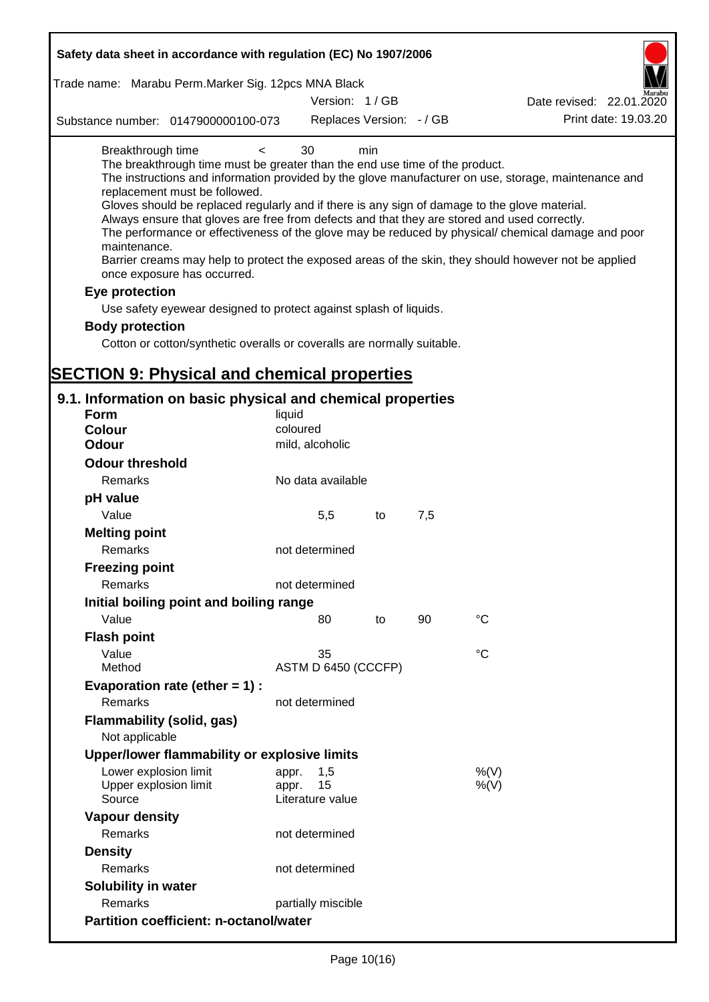| Safety data sheet in accordance with regulation (EC) No 1907/2006                                                                                                                                                                                                                                                                                                                                              |                                                 |     |     |                                                                                                                                                                                                                                                                                                                    |
|----------------------------------------------------------------------------------------------------------------------------------------------------------------------------------------------------------------------------------------------------------------------------------------------------------------------------------------------------------------------------------------------------------------|-------------------------------------------------|-----|-----|--------------------------------------------------------------------------------------------------------------------------------------------------------------------------------------------------------------------------------------------------------------------------------------------------------------------|
| Trade name: Marabu Perm. Marker Sig. 12pcs MNA Black                                                                                                                                                                                                                                                                                                                                                           |                                                 |     |     |                                                                                                                                                                                                                                                                                                                    |
|                                                                                                                                                                                                                                                                                                                                                                                                                | Version: 1/GB                                   |     |     | Date revised: 22.01.2020                                                                                                                                                                                                                                                                                           |
| Substance number: 0147900000100-073                                                                                                                                                                                                                                                                                                                                                                            | Replaces Version: - / GB                        |     |     | Print date: 19.03.20                                                                                                                                                                                                                                                                                               |
| Breakthrough time<br>$\,<\,$<br>The breakthrough time must be greater than the end use time of the product.<br>replacement must be followed.<br>Gloves should be replaced regularly and if there is any sign of damage to the glove material.<br>Always ensure that gloves are free from defects and that they are stored and used correctly.<br>maintenance.<br>once exposure has occurred.<br>Eye protection | 30                                              | min |     | The instructions and information provided by the glove manufacturer on use, storage, maintenance and<br>The performance or effectiveness of the glove may be reduced by physical/ chemical damage and poor<br>Barrier creams may help to protect the exposed areas of the skin, they should however not be applied |
| Use safety eyewear designed to protect against splash of liquids.                                                                                                                                                                                                                                                                                                                                              |                                                 |     |     |                                                                                                                                                                                                                                                                                                                    |
| <b>Body protection</b>                                                                                                                                                                                                                                                                                                                                                                                         |                                                 |     |     |                                                                                                                                                                                                                                                                                                                    |
| Cotton or cotton/synthetic overalls or coveralls are normally suitable.                                                                                                                                                                                                                                                                                                                                        |                                                 |     |     |                                                                                                                                                                                                                                                                                                                    |
|                                                                                                                                                                                                                                                                                                                                                                                                                |                                                 |     |     |                                                                                                                                                                                                                                                                                                                    |
| <b>SECTION 9: Physical and chemical properties</b>                                                                                                                                                                                                                                                                                                                                                             |                                                 |     |     |                                                                                                                                                                                                                                                                                                                    |
| 9.1. Information on basic physical and chemical properties                                                                                                                                                                                                                                                                                                                                                     |                                                 |     |     |                                                                                                                                                                                                                                                                                                                    |
| Form                                                                                                                                                                                                                                                                                                                                                                                                           | liquid                                          |     |     |                                                                                                                                                                                                                                                                                                                    |
| <b>Colour</b>                                                                                                                                                                                                                                                                                                                                                                                                  | coloured                                        |     |     |                                                                                                                                                                                                                                                                                                                    |
| <b>Odour</b>                                                                                                                                                                                                                                                                                                                                                                                                   | mild, alcoholic                                 |     |     |                                                                                                                                                                                                                                                                                                                    |
| <b>Odour threshold</b>                                                                                                                                                                                                                                                                                                                                                                                         |                                                 |     |     |                                                                                                                                                                                                                                                                                                                    |
| Remarks                                                                                                                                                                                                                                                                                                                                                                                                        | No data available                               |     |     |                                                                                                                                                                                                                                                                                                                    |
| pH value                                                                                                                                                                                                                                                                                                                                                                                                       |                                                 |     |     |                                                                                                                                                                                                                                                                                                                    |
| Value                                                                                                                                                                                                                                                                                                                                                                                                          | 5,5                                             | to  | 7,5 |                                                                                                                                                                                                                                                                                                                    |
| <b>Melting point</b>                                                                                                                                                                                                                                                                                                                                                                                           |                                                 |     |     |                                                                                                                                                                                                                                                                                                                    |
| Remarks                                                                                                                                                                                                                                                                                                                                                                                                        | not determined                                  |     |     |                                                                                                                                                                                                                                                                                                                    |
| <b>Freezing point</b>                                                                                                                                                                                                                                                                                                                                                                                          |                                                 |     |     |                                                                                                                                                                                                                                                                                                                    |
| Remarks                                                                                                                                                                                                                                                                                                                                                                                                        | not determined                                  |     |     |                                                                                                                                                                                                                                                                                                                    |
| Initial boiling point and boiling range                                                                                                                                                                                                                                                                                                                                                                        |                                                 |     |     |                                                                                                                                                                                                                                                                                                                    |
| Value                                                                                                                                                                                                                                                                                                                                                                                                          | 80                                              | to  | 90  | $^{\circ}C$                                                                                                                                                                                                                                                                                                        |
| <b>Flash point</b>                                                                                                                                                                                                                                                                                                                                                                                             |                                                 |     |     |                                                                                                                                                                                                                                                                                                                    |
| Value                                                                                                                                                                                                                                                                                                                                                                                                          | 35                                              |     |     | °C                                                                                                                                                                                                                                                                                                                 |
| Method                                                                                                                                                                                                                                                                                                                                                                                                         | ASTM D 6450 (CCCFP)                             |     |     |                                                                                                                                                                                                                                                                                                                    |
| Evaporation rate (ether $= 1$ ) :                                                                                                                                                                                                                                                                                                                                                                              |                                                 |     |     |                                                                                                                                                                                                                                                                                                                    |
| Remarks                                                                                                                                                                                                                                                                                                                                                                                                        | not determined                                  |     |     |                                                                                                                                                                                                                                                                                                                    |
| Flammability (solid, gas)<br>Not applicable                                                                                                                                                                                                                                                                                                                                                                    |                                                 |     |     |                                                                                                                                                                                                                                                                                                                    |
| Upper/lower flammability or explosive limits                                                                                                                                                                                                                                                                                                                                                                   |                                                 |     |     |                                                                                                                                                                                                                                                                                                                    |
| Lower explosion limit<br>Upper explosion limit<br>Source                                                                                                                                                                                                                                                                                                                                                       | 1,5<br>appr.<br>15<br>appr.<br>Literature value |     |     | %(V)<br>$%$ (V)                                                                                                                                                                                                                                                                                                    |
| <b>Vapour density</b>                                                                                                                                                                                                                                                                                                                                                                                          |                                                 |     |     |                                                                                                                                                                                                                                                                                                                    |
| Remarks                                                                                                                                                                                                                                                                                                                                                                                                        | not determined                                  |     |     |                                                                                                                                                                                                                                                                                                                    |
| <b>Density</b>                                                                                                                                                                                                                                                                                                                                                                                                 |                                                 |     |     |                                                                                                                                                                                                                                                                                                                    |
| Remarks                                                                                                                                                                                                                                                                                                                                                                                                        | not determined                                  |     |     |                                                                                                                                                                                                                                                                                                                    |
| <b>Solubility in water</b>                                                                                                                                                                                                                                                                                                                                                                                     |                                                 |     |     |                                                                                                                                                                                                                                                                                                                    |
| Remarks                                                                                                                                                                                                                                                                                                                                                                                                        | partially miscible                              |     |     |                                                                                                                                                                                                                                                                                                                    |
| <b>Partition coefficient: n-octanol/water</b>                                                                                                                                                                                                                                                                                                                                                                  |                                                 |     |     |                                                                                                                                                                                                                                                                                                                    |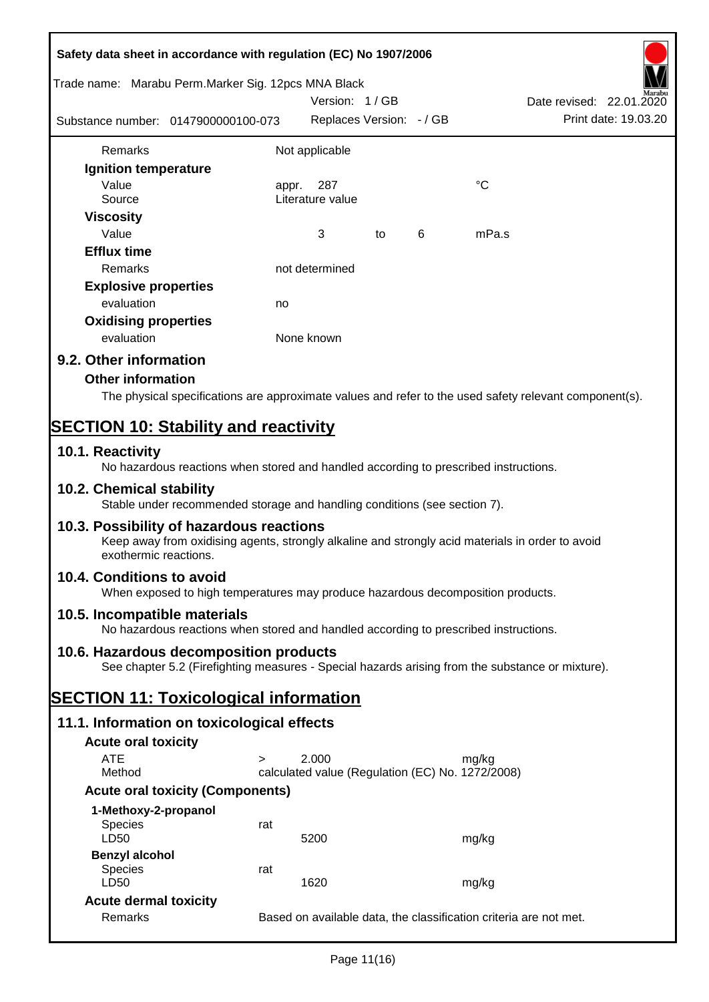| Safety data sheet in accordance with regulation (EC) No 1907/2006                                                                                                     |                                                                   |                                                  |    |   |                                                                                                        |  |  |
|-----------------------------------------------------------------------------------------------------------------------------------------------------------------------|-------------------------------------------------------------------|--------------------------------------------------|----|---|--------------------------------------------------------------------------------------------------------|--|--|
| Trade name: Marabu Perm.Marker Sig. 12pcs MNA Black                                                                                                                   |                                                                   | Version: 1/GB                                    |    |   | Date revised: 22.01.2020                                                                               |  |  |
| Substance number: 0147900000100-073                                                                                                                                   |                                                                   | Replaces Version: - / GB                         |    |   | Print date: 19.03.20                                                                                   |  |  |
| Remarks                                                                                                                                                               |                                                                   | Not applicable                                   |    |   |                                                                                                        |  |  |
| Ignition temperature                                                                                                                                                  |                                                                   |                                                  |    |   |                                                                                                        |  |  |
| Value                                                                                                                                                                 |                                                                   | appr. 287                                        |    |   | °C                                                                                                     |  |  |
| Source                                                                                                                                                                |                                                                   | Literature value                                 |    |   |                                                                                                        |  |  |
| <b>Viscosity</b>                                                                                                                                                      |                                                                   |                                                  |    |   |                                                                                                        |  |  |
| Value                                                                                                                                                                 |                                                                   | 3                                                | to | 6 | mPa.s                                                                                                  |  |  |
| <b>Efflux time</b>                                                                                                                                                    |                                                                   |                                                  |    |   |                                                                                                        |  |  |
| Remarks                                                                                                                                                               |                                                                   | not determined                                   |    |   |                                                                                                        |  |  |
| <b>Explosive properties</b>                                                                                                                                           |                                                                   |                                                  |    |   |                                                                                                        |  |  |
| evaluation                                                                                                                                                            | no                                                                |                                                  |    |   |                                                                                                        |  |  |
| <b>Oxidising properties</b>                                                                                                                                           |                                                                   |                                                  |    |   |                                                                                                        |  |  |
| evaluation                                                                                                                                                            |                                                                   | None known                                       |    |   |                                                                                                        |  |  |
| 9.2. Other information                                                                                                                                                |                                                                   |                                                  |    |   |                                                                                                        |  |  |
|                                                                                                                                                                       |                                                                   |                                                  |    |   |                                                                                                        |  |  |
| <b>Other information</b>                                                                                                                                              |                                                                   |                                                  |    |   |                                                                                                        |  |  |
|                                                                                                                                                                       |                                                                   |                                                  |    |   | The physical specifications are approximate values and refer to the used safety relevant component(s). |  |  |
| <b>SECTION 10: Stability and reactivity</b>                                                                                                                           |                                                                   |                                                  |    |   |                                                                                                        |  |  |
| 10.1. Reactivity<br>No hazardous reactions when stored and handled according to prescribed instructions.                                                              |                                                                   |                                                  |    |   |                                                                                                        |  |  |
| 10.2. Chemical stability<br>Stable under recommended storage and handling conditions (see section 7).                                                                 |                                                                   |                                                  |    |   |                                                                                                        |  |  |
| 10.3. Possibility of hazardous reactions<br>Keep away from oxidising agents, strongly alkaline and strongly acid materials in order to avoid<br>exothermic reactions. |                                                                   |                                                  |    |   |                                                                                                        |  |  |
| 10.4. Conditions to avoid<br>When exposed to high temperatures may produce hazardous decomposition products.                                                          |                                                                   |                                                  |    |   |                                                                                                        |  |  |
| 10.5. Incompatible materials<br>No hazardous reactions when stored and handled according to prescribed instructions.                                                  |                                                                   |                                                  |    |   |                                                                                                        |  |  |
| 10.6. Hazardous decomposition products                                                                                                                                |                                                                   |                                                  |    |   |                                                                                                        |  |  |
|                                                                                                                                                                       |                                                                   |                                                  |    |   | See chapter 5.2 (Firefighting measures - Special hazards arising from the substance or mixture).       |  |  |
| <b>SECTION 11: Toxicological information</b>                                                                                                                          |                                                                   |                                                  |    |   |                                                                                                        |  |  |
| 11.1. Information on toxicological effects                                                                                                                            |                                                                   |                                                  |    |   |                                                                                                        |  |  |
| <b>Acute oral toxicity</b>                                                                                                                                            |                                                                   |                                                  |    |   |                                                                                                        |  |  |
| <b>ATE</b>                                                                                                                                                            | $\geq$                                                            | 2.000                                            |    |   | mg/kg                                                                                                  |  |  |
| Method                                                                                                                                                                |                                                                   | calculated value (Regulation (EC) No. 1272/2008) |    |   |                                                                                                        |  |  |
| <b>Acute oral toxicity (Components)</b>                                                                                                                               |                                                                   |                                                  |    |   |                                                                                                        |  |  |
| 1-Methoxy-2-propanol                                                                                                                                                  |                                                                   |                                                  |    |   |                                                                                                        |  |  |
| Species<br>LD50                                                                                                                                                       | rat                                                               | 5200                                             |    |   | mg/kg                                                                                                  |  |  |
| <b>Benzyl alcohol</b>                                                                                                                                                 |                                                                   |                                                  |    |   |                                                                                                        |  |  |
| Species<br>LD50                                                                                                                                                       | rat                                                               | 1620                                             |    |   | mg/kg                                                                                                  |  |  |
| <b>Acute dermal toxicity</b>                                                                                                                                          |                                                                   |                                                  |    |   |                                                                                                        |  |  |
| Remarks                                                                                                                                                               | Based on available data, the classification criteria are not met. |                                                  |    |   |                                                                                                        |  |  |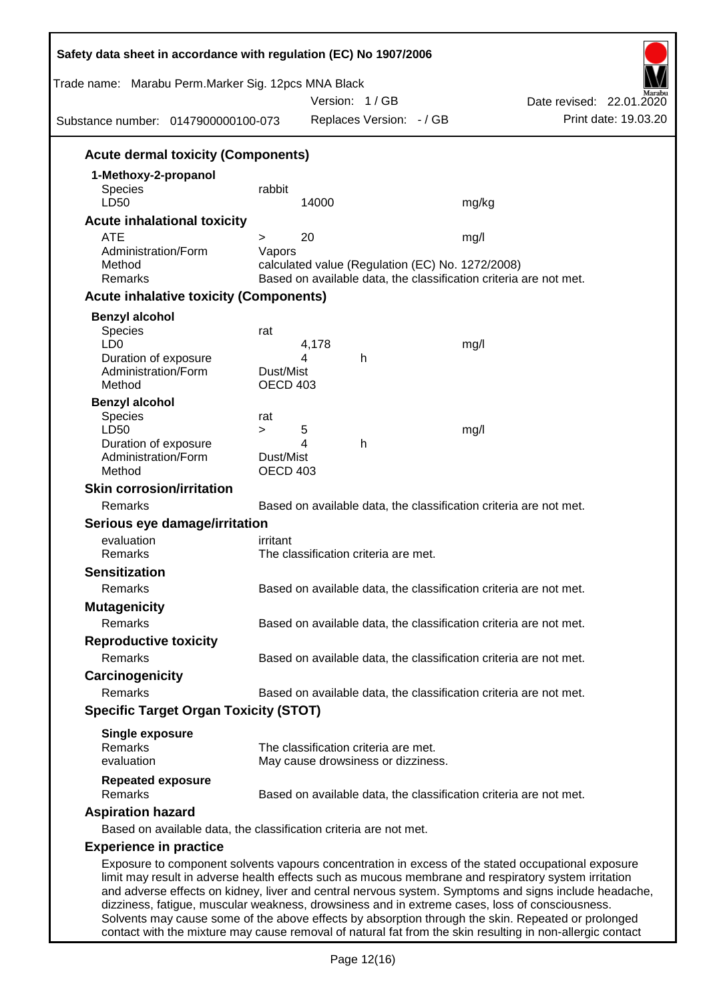| Trade name: Marabu Perm.Marker Sig. 12pcs MNA Black<br>Substance number: 0147900000100-073                                                                                                             |                                 |            | Version: 1/GB<br>Replaces Version: - / GB |                                                          | Date revised: 22.01.2020<br>Print date: 19.03.20                                                                                                                                                            |
|--------------------------------------------------------------------------------------------------------------------------------------------------------------------------------------------------------|---------------------------------|------------|-------------------------------------------|----------------------------------------------------------|-------------------------------------------------------------------------------------------------------------------------------------------------------------------------------------------------------------|
| <b>Acute dermal toxicity (Components)</b>                                                                                                                                                              |                                 |            |                                           |                                                          |                                                                                                                                                                                                             |
| 1-Methoxy-2-propanol<br><b>Species</b><br>LD50                                                                                                                                                         | rabbit                          | 14000      |                                           | mg/kg                                                    |                                                                                                                                                                                                             |
| <b>Acute inhalational toxicity</b><br><b>ATE</b>                                                                                                                                                       |                                 |            |                                           |                                                          |                                                                                                                                                                                                             |
| Administration/Form<br>Method<br>Remarks                                                                                                                                                               | $\geq$<br>Vapors                | 20         |                                           | mg/l<br>calculated value (Regulation (EC) No. 1272/2008) | Based on available data, the classification criteria are not met.                                                                                                                                           |
| <b>Acute inhalative toxicity (Components)</b>                                                                                                                                                          |                                 |            |                                           |                                                          |                                                                                                                                                                                                             |
| <b>Benzyl alcohol</b>                                                                                                                                                                                  |                                 |            |                                           |                                                          |                                                                                                                                                                                                             |
| Species<br>LD <sub>0</sub><br>Duration of exposure<br>Administration/Form<br>Method                                                                                                                    | rat<br>Dust/Mist<br>OECD 403    | 4,178<br>4 | h                                         | mg/l                                                     |                                                                                                                                                                                                             |
| <b>Benzyl alcohol</b><br><b>Species</b>                                                                                                                                                                | rat                             |            |                                           |                                                          |                                                                                                                                                                                                             |
| LD50<br>Duration of exposure<br>Administration/Form<br>Method                                                                                                                                          | $\geq$<br>Dust/Mist<br>OECD 403 | 5<br>4     | h                                         | mg/l                                                     |                                                                                                                                                                                                             |
| <b>Skin corrosion/irritation</b>                                                                                                                                                                       |                                 |            |                                           |                                                          |                                                                                                                                                                                                             |
| Remarks                                                                                                                                                                                                |                                 |            |                                           |                                                          | Based on available data, the classification criteria are not met.                                                                                                                                           |
| Serious eye damage/irritation                                                                                                                                                                          |                                 |            |                                           |                                                          |                                                                                                                                                                                                             |
| evaluation<br>Remarks                                                                                                                                                                                  | irritant                        |            | The classification criteria are met.      |                                                          |                                                                                                                                                                                                             |
| <b>Sensitization</b>                                                                                                                                                                                   |                                 |            |                                           |                                                          |                                                                                                                                                                                                             |
| Remarks                                                                                                                                                                                                |                                 |            |                                           |                                                          | Based on available data, the classification criteria are not met.                                                                                                                                           |
| <b>Mutagenicity</b>                                                                                                                                                                                    |                                 |            |                                           |                                                          |                                                                                                                                                                                                             |
| Remarks                                                                                                                                                                                                |                                 |            |                                           |                                                          | Based on available data, the classification criteria are not met.                                                                                                                                           |
| <b>Reproductive toxicity</b>                                                                                                                                                                           |                                 |            |                                           |                                                          |                                                                                                                                                                                                             |
| Remarks                                                                                                                                                                                                |                                 |            |                                           |                                                          | Based on available data, the classification criteria are not met.                                                                                                                                           |
| Carcinogenicity                                                                                                                                                                                        |                                 |            |                                           |                                                          |                                                                                                                                                                                                             |
| Remarks                                                                                                                                                                                                |                                 |            |                                           |                                                          | Based on available data, the classification criteria are not met.                                                                                                                                           |
| <b>Specific Target Organ Toxicity (STOT)</b>                                                                                                                                                           |                                 |            |                                           |                                                          |                                                                                                                                                                                                             |
| <b>Single exposure</b><br>Remarks                                                                                                                                                                      |                                 |            | The classification criteria are met.      |                                                          |                                                                                                                                                                                                             |
| evaluation                                                                                                                                                                                             |                                 |            | May cause drowsiness or dizziness.        |                                                          |                                                                                                                                                                                                             |
| <b>Repeated exposure</b><br>Remarks                                                                                                                                                                    |                                 |            |                                           |                                                          | Based on available data, the classification criteria are not met.                                                                                                                                           |
| <b>Aspiration hazard</b>                                                                                                                                                                               |                                 |            |                                           |                                                          |                                                                                                                                                                                                             |
| Based on available data, the classification criteria are not met.                                                                                                                                      |                                 |            |                                           |                                                          |                                                                                                                                                                                                             |
| <b>Experience in practice</b>                                                                                                                                                                          |                                 |            |                                           |                                                          |                                                                                                                                                                                                             |
| limit may result in adverse health effects such as mucous membrane and respiratory system irritation<br>dizziness, fatigue, muscular weakness, drowsiness and in extreme cases, loss of consciousness. |                                 |            |                                           |                                                          | Exposure to component solvents vapours concentration in excess of the stated occupational exposure<br>and adverse effects on kidney, liver and central nervous system. Symptoms and signs include headache, |

Solvents may cause some of the above effects by absorption through the skin. Repeated or prolonged contact with the mixture may cause removal of natural fat from the skin resulting in non-allergic contact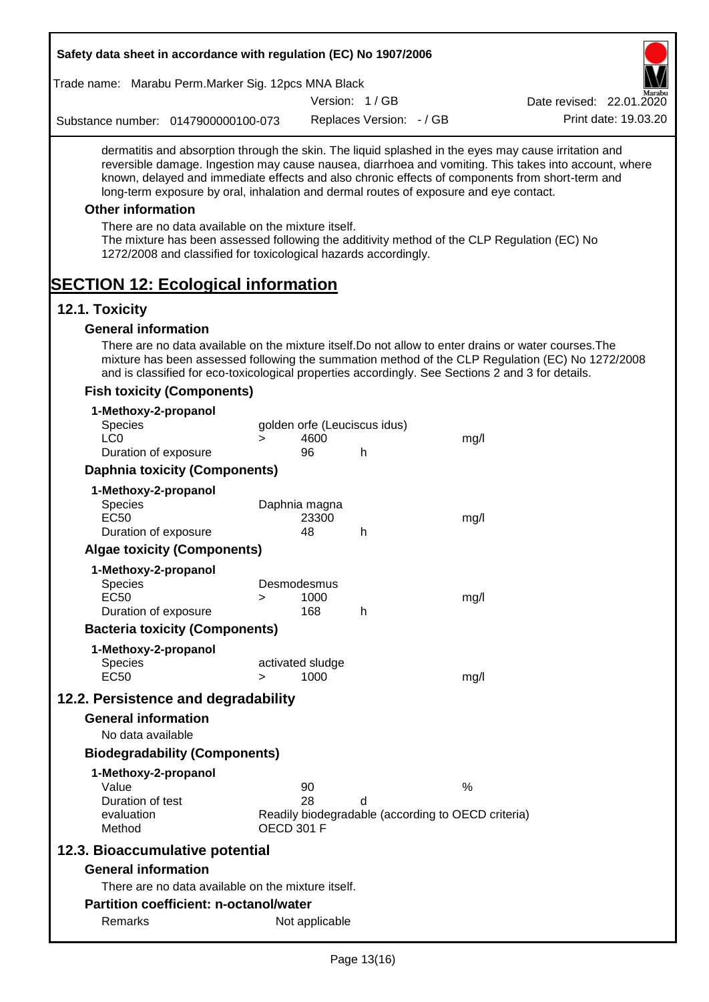| Safety data sheet in accordance with regulation (EC) No 1907/2006                                                                                                                                                                                                                                                                                                                                                                                                                                                                                    |        |                              |                          |                                                    |                                                                                                       |
|------------------------------------------------------------------------------------------------------------------------------------------------------------------------------------------------------------------------------------------------------------------------------------------------------------------------------------------------------------------------------------------------------------------------------------------------------------------------------------------------------------------------------------------------------|--------|------------------------------|--------------------------|----------------------------------------------------|-------------------------------------------------------------------------------------------------------|
| Trade name: Marabu Perm. Marker Sig. 12pcs MNA Black                                                                                                                                                                                                                                                                                                                                                                                                                                                                                                 |        |                              |                          |                                                    |                                                                                                       |
|                                                                                                                                                                                                                                                                                                                                                                                                                                                                                                                                                      |        |                              | Version: 1/GB            |                                                    | Date revised: 22.01.2020                                                                              |
| Substance number: 0147900000100-073                                                                                                                                                                                                                                                                                                                                                                                                                                                                                                                  |        |                              | Replaces Version: - / GB |                                                    | Print date: 19.03.20                                                                                  |
| dermatitis and absorption through the skin. The liquid splashed in the eyes may cause irritation and<br>known, delayed and immediate effects and also chronic effects of components from short-term and<br>long-term exposure by oral, inhalation and dermal routes of exposure and eye contact.<br><b>Other information</b><br>There are no data available on the mixture itself.<br>The mixture has been assessed following the additivity method of the CLP Regulation (EC) No<br>1272/2008 and classified for toxicological hazards accordingly. |        |                              |                          |                                                    | reversible damage. Ingestion may cause nausea, diarrhoea and vomiting. This takes into account, where |
| <b>SECTION 12: Ecological information</b>                                                                                                                                                                                                                                                                                                                                                                                                                                                                                                            |        |                              |                          |                                                    |                                                                                                       |
| 12.1. Toxicity                                                                                                                                                                                                                                                                                                                                                                                                                                                                                                                                       |        |                              |                          |                                                    |                                                                                                       |
| <b>General information</b><br>There are no data available on the mixture itself. Do not allow to enter drains or water courses. The<br>and is classified for eco-toxicological properties accordingly. See Sections 2 and 3 for details.<br><b>Fish toxicity (Components)</b>                                                                                                                                                                                                                                                                        |        |                              |                          |                                                    | mixture has been assessed following the summation method of the CLP Regulation (EC) No 1272/2008      |
|                                                                                                                                                                                                                                                                                                                                                                                                                                                                                                                                                      |        |                              |                          |                                                    |                                                                                                       |
| 1-Methoxy-2-propanol<br><b>Species</b>                                                                                                                                                                                                                                                                                                                                                                                                                                                                                                               |        | golden orfe (Leuciscus idus) |                          |                                                    |                                                                                                       |
| LC <sub>0</sub>                                                                                                                                                                                                                                                                                                                                                                                                                                                                                                                                      | $\geq$ | 4600                         |                          | mg/l                                               |                                                                                                       |
| Duration of exposure                                                                                                                                                                                                                                                                                                                                                                                                                                                                                                                                 |        | 96                           | h                        |                                                    |                                                                                                       |
| <b>Daphnia toxicity (Components)</b>                                                                                                                                                                                                                                                                                                                                                                                                                                                                                                                 |        |                              |                          |                                                    |                                                                                                       |
| 1-Methoxy-2-propanol                                                                                                                                                                                                                                                                                                                                                                                                                                                                                                                                 |        |                              |                          |                                                    |                                                                                                       |
| <b>Species</b><br><b>EC50</b>                                                                                                                                                                                                                                                                                                                                                                                                                                                                                                                        |        | Daphnia magna<br>23300       |                          | mg/l                                               |                                                                                                       |
| Duration of exposure                                                                                                                                                                                                                                                                                                                                                                                                                                                                                                                                 |        | 48                           | h                        |                                                    |                                                                                                       |
| <b>Algae toxicity (Components)</b>                                                                                                                                                                                                                                                                                                                                                                                                                                                                                                                   |        |                              |                          |                                                    |                                                                                                       |
| 1-Methoxy-2-propanol                                                                                                                                                                                                                                                                                                                                                                                                                                                                                                                                 |        |                              |                          |                                                    |                                                                                                       |
| <b>Species</b>                                                                                                                                                                                                                                                                                                                                                                                                                                                                                                                                       |        | Desmodesmus                  |                          |                                                    |                                                                                                       |
| EC <sub>50</sub>                                                                                                                                                                                                                                                                                                                                                                                                                                                                                                                                     | >      | 1000                         |                          | mg/l                                               |                                                                                                       |
| Duration of exposure                                                                                                                                                                                                                                                                                                                                                                                                                                                                                                                                 |        | 168                          | h                        |                                                    |                                                                                                       |
| <b>Bacteria toxicity (Components)</b>                                                                                                                                                                                                                                                                                                                                                                                                                                                                                                                |        |                              |                          |                                                    |                                                                                                       |
| 1-Methoxy-2-propanol<br><b>Species</b>                                                                                                                                                                                                                                                                                                                                                                                                                                                                                                               |        | activated sludge             |                          |                                                    |                                                                                                       |
| <b>EC50</b>                                                                                                                                                                                                                                                                                                                                                                                                                                                                                                                                          | $\geq$ | 1000                         |                          | mg/l                                               |                                                                                                       |
| 12.2. Persistence and degradability                                                                                                                                                                                                                                                                                                                                                                                                                                                                                                                  |        |                              |                          |                                                    |                                                                                                       |
| <b>General information</b>                                                                                                                                                                                                                                                                                                                                                                                                                                                                                                                           |        |                              |                          |                                                    |                                                                                                       |
| No data available                                                                                                                                                                                                                                                                                                                                                                                                                                                                                                                                    |        |                              |                          |                                                    |                                                                                                       |
| <b>Biodegradability (Components)</b>                                                                                                                                                                                                                                                                                                                                                                                                                                                                                                                 |        |                              |                          |                                                    |                                                                                                       |
| 1-Methoxy-2-propanol                                                                                                                                                                                                                                                                                                                                                                                                                                                                                                                                 |        |                              |                          |                                                    |                                                                                                       |
| Value                                                                                                                                                                                                                                                                                                                                                                                                                                                                                                                                                |        | 90                           |                          | $\%$                                               |                                                                                                       |
| Duration of test                                                                                                                                                                                                                                                                                                                                                                                                                                                                                                                                     |        | 28                           | d                        |                                                    |                                                                                                       |
| evaluation<br>Method                                                                                                                                                                                                                                                                                                                                                                                                                                                                                                                                 |        | <b>OECD 301 F</b>            |                          | Readily biodegradable (according to OECD criteria) |                                                                                                       |
| 12.3. Bioaccumulative potential                                                                                                                                                                                                                                                                                                                                                                                                                                                                                                                      |        |                              |                          |                                                    |                                                                                                       |
| <b>General information</b>                                                                                                                                                                                                                                                                                                                                                                                                                                                                                                                           |        |                              |                          |                                                    |                                                                                                       |
| There are no data available on the mixture itself.                                                                                                                                                                                                                                                                                                                                                                                                                                                                                                   |        |                              |                          |                                                    |                                                                                                       |
| <b>Partition coefficient: n-octanol/water</b>                                                                                                                                                                                                                                                                                                                                                                                                                                                                                                        |        |                              |                          |                                                    |                                                                                                       |
| Remarks                                                                                                                                                                                                                                                                                                                                                                                                                                                                                                                                              |        | Not applicable               |                          |                                                    |                                                                                                       |
|                                                                                                                                                                                                                                                                                                                                                                                                                                                                                                                                                      |        |                              |                          |                                                    |                                                                                                       |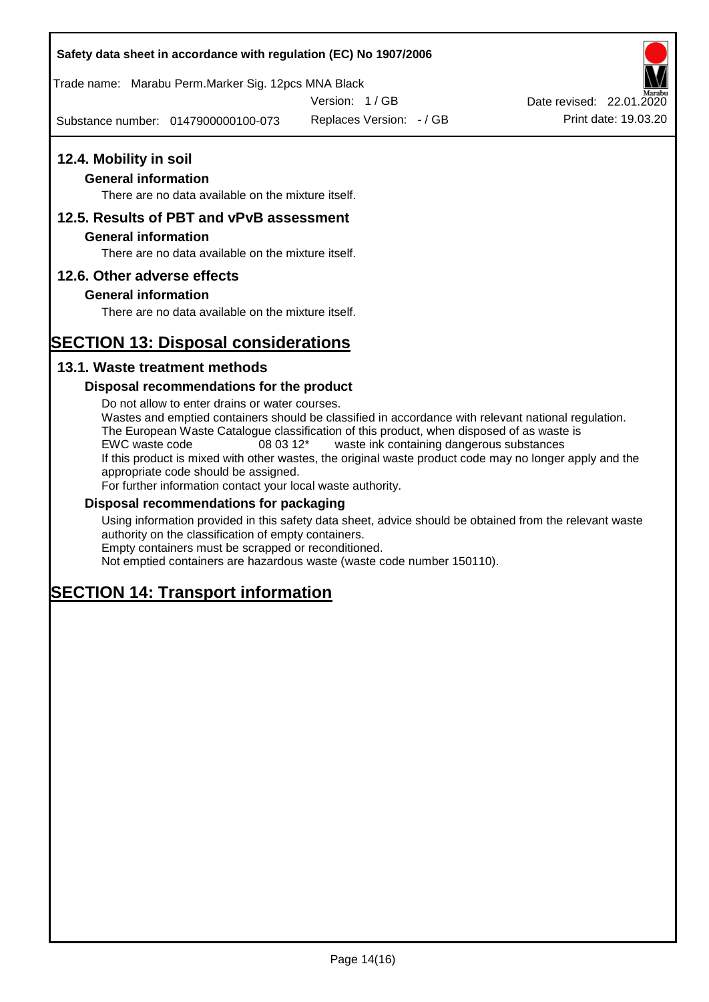## **Safety data sheet in accordance with regulation (EC) No 1907/2006**

Trade name: Marabu Perm.Marker Sig. 12pcs MNA Black

Version: 1 / GB

Substance number: 0147900000100-073

Replaces Version: - / GB Print date: 19.03.20 Date revised: 22.01.2020

## **12.4. Mobility in soil**

## **General information**

There are no data available on the mixture itself.

## **12.5. Results of PBT and vPvB assessment**

## **General information**

There are no data available on the mixture itself.

## **12.6. Other adverse effects**

## **General information**

There are no data available on the mixture itself.

# **SECTION 13: Disposal considerations**

## **13.1. Waste treatment methods**

## **Disposal recommendations for the product**

Do not allow to enter drains or water courses. Wastes and emptied containers should be classified in accordance with relevant national regulation. The European Waste Catalogue classification of this product, when disposed of as waste is EWC waste code 08 03 12\* waste ink containing dangerous substances If this product is mixed with other wastes, the original waste product code may no longer apply and the appropriate code should be assigned. For further information contact your local waste authority.

## **Disposal recommendations for packaging**

Using information provided in this safety data sheet, advice should be obtained from the relevant waste authority on the classification of empty containers. Empty containers must be scrapped or reconditioned.

Not emptied containers are hazardous waste (waste code number 150110).

# **SECTION 14: Transport information**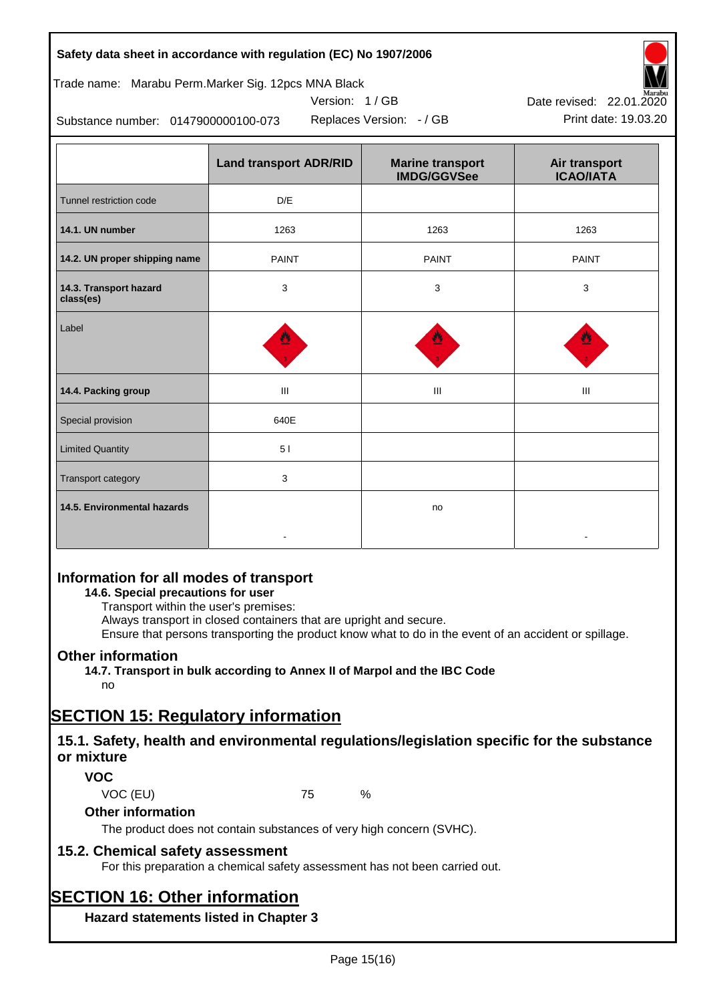|  | Safety data sheet in accordance with regulation (EC) No 1907/2006 |  |  |
|--|-------------------------------------------------------------------|--|--|
|--|-------------------------------------------------------------------|--|--|

Trade name: Marabu Perm.Marker Sig. 12pcs MNA Black

Version: 1 / GB



Replaces Version: - / GB Print date: 19.03.20

Substance number: 0147900000100-073

|                                     | <b>Land transport ADR/RID</b> | <b>Marine transport</b><br><b>IMDG/GGVSee</b> | Air transport<br><b>ICAO/IATA</b> |
|-------------------------------------|-------------------------------|-----------------------------------------------|-----------------------------------|
| Tunnel restriction code             | D/E                           |                                               |                                   |
| 14.1. UN number                     | 1263                          | 1263                                          | 1263                              |
| 14.2. UN proper shipping name       | <b>PAINT</b>                  | <b>PAINT</b>                                  | <b>PAINT</b>                      |
| 14.3. Transport hazard<br>class(es) | 3                             | 3                                             | 3                                 |
| Label                               |                               |                                               |                                   |
| 14.4. Packing group                 | III                           | III                                           | Ш                                 |
| Special provision                   | 640E                          |                                               |                                   |
| <b>Limited Quantity</b>             | 51                            |                                               |                                   |
| Transport category                  | 3                             |                                               |                                   |
| 14.5. Environmental hazards         |                               | no                                            |                                   |

## **Information for all modes of transport**

## **14.6. Special precautions for user**

Transport within the user's premises:

Always transport in closed containers that are upright and secure.

Ensure that persons transporting the product know what to do in the event of an accident or spillage.

## **Other information**

**14.7. Transport in bulk according to Annex II of Marpol and the IBC Code** no

# **SECTION 15: Regulatory information**

## **15.1. Safety, health and environmental regulations/legislation specific for the substance or mixture**

## **VOC**

VOC (EU) 75 %

## **Other information**

The product does not contain substances of very high concern (SVHC).

## **15.2. Chemical safety assessment**

For this preparation a chemical safety assessment has not been carried out.

# **SECTION 16: Other information**

**Hazard statements listed in Chapter 3**